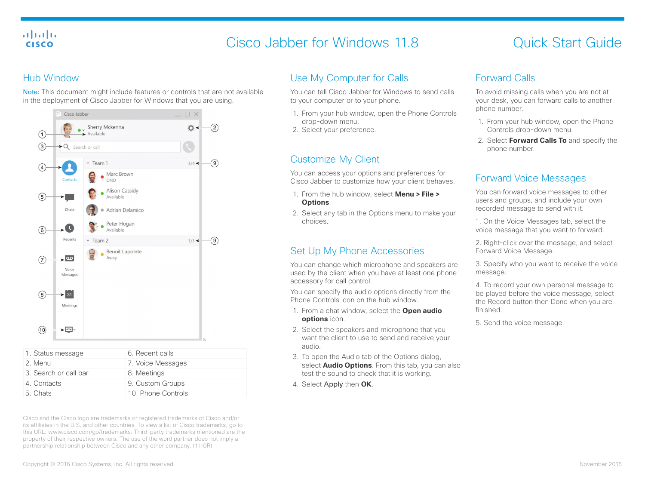#### almlu **CISCO**

# Cisco Jabber for Windows 11.8 Cisco Jabber for Windows 11.8

#### Hub Window

Note: This document might include features or controls that are not available in the deployment of Cisco Jabber for Windows that you are using.



| 1. Status message     | 6. Recent calls    |
|-----------------------|--------------------|
| 2. Menu               | 7. Voice Messages  |
| 3. Search or call bar | 8. Meetings        |
| 4. Contacts           | 9. Custom Groups   |
| 5. Chats              | 10. Phone Controls |
|                       |                    |

Cisco and the Cisco logo are trademarks or registered trademarks of Cisco and/or its affiliates in the U.S. and other countries. To view a list of Cisco trademarks, go to this URL: www.cisco.com/go/trademarks. Third-party trademarks mentioned are the property of their respective owners. The use of the word partner does not imply a partnership relationship between Cisco and any other company. (1110R)

# Use My Computer for Calls

You can tell Cisco Jabber for Windows to send calls to your computer or to your phone.

- 1. From your hub window, open the Phone Controls drop-down menu.
- 2. Select your preference.

## Customize My Client

You can access your options and preferences for Cisco Jabber to customize how your client behaves.

- 1. From the hub window, select **Menu > File > Options**.
- 2. Select any tab in the Options menu to make your choices.

# Set Up My Phone Accessories

You can change which microphone and speakers are used by the client when you have at least one phone accessory for call control.

You can specify the audio options directly from the Phone Controls icon on the hub window.

- 1. From a chat window, select the **Open audio options** icon.
- 2. Select the speakers and microphone that you want the client to use to send and receive your audio.
- 3. To open the Audio tab of the Options dialog, select **Audio Options**. From this tab, you can also test the sound to check that it is working.
- 4. Select Apply then **OK**.

### Forward Calls

To avoid missing calls when you are not at your desk, you can forward calls to another phone number.

- 1. From your hub window, open the Phone Controls drop-down menu.
- 2. Select **Forward Calls To** and specify the phone number.

## Forward Voice Messages

You can forward voice messages to other users and groups, and include your own recorded message to send with it.

1. On the Voice Messages tab, select the voice message that you want to forward.

2. Right-click over the message, and select Forward Voice Message.

3. Specify who you want to receive the voice message.

4. To record your own personal message to be played before the voice message, select the Record button then Done when you are finished.

5. Send the voice message.